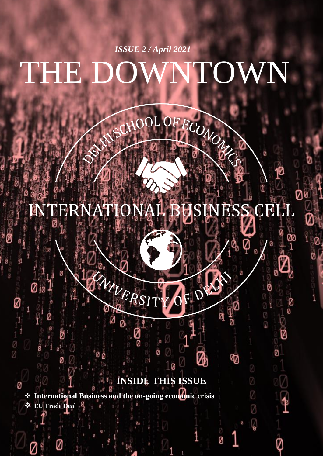# THE DOWNTOWN *ISSUE 2 / April 2021*

#### **INTERNATIC JSINESS CELL**  $\mathbf{B}$

FECONOL

ø

V

Ø

Ø

 $\circledcirc$ 

ø

Ø

Ð

Ø

Ø

Ø

 $\sqrt{\frac{2}{3}}$ 

# **INSIDE THIS ISSUE**

❖ **International Business and the on-going economic crisis** ❖ **EU Trade Deal**

Ø

Ø

NIVER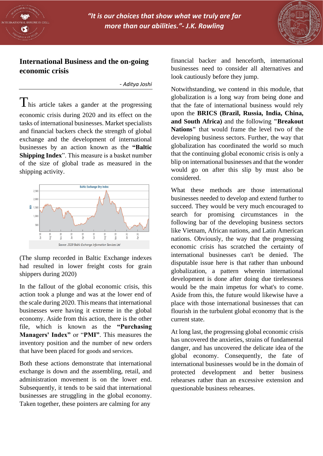



## **International Business and the on-going economic crisis**

- *Aditya Joshi*

This article takes a gander at the progressing economic crisis during 2020 and its effect on the tasks of international businesses. Market specialists and financial backers check the strength of global exchange and the development of international businesses by an action known as the **"Baltic Shipping Index**". This measure is a basket number of the size of global trade as measured in the shipping activity.



(The slump recorded in Baltic Exchange indexes had resulted in lower freight costs for grain shippers during 2020)

In the fallout of the global economic crisis, this action took a plunge and was at the lower end of the scale during 2020. This means that international businesses were having it extreme in the global economy. Aside from this action, there is the other file, which is known as the **"Purchasing Managers' Index"** or "**PMI"**. This measures the inventory position and the number of new orders that have been placed for goods and services.

Both these actions demonstrate that international exchange is down and the assembling, retail, and administration movement is on the lower end. Subsequently, it tends to be said that international businesses are struggling in the global economy. Taken together, these pointers are calming for any

financial backer and henceforth, international businesses need to consider all alternatives and look cautiously before they jump.

Notwithstanding, we contend in this module, that globalization is a long way from being done and that the fate of international business would rely upon the **BRICS (Brazil, Russia, India, China, and South Africa)** and the following **"Breakout Nations"** that would frame the level two of the developing business sectors. Further, the way that globalization has coordinated the world so much that the continuing global economic crisis is only a blip on international businesses and that the wonder would go on after this slip by must also be considered.

What these methods are those international businesses needed to develop and extend further to succeed. They would be very much encouraged to search for promising circumstances in the following bar of the developing business sectors like Vietnam, African nations, and Latin American nations. Obviously, the way that the progressing economic crisis has scratched the certainty of international businesses can't be denied. The disputable issue here is that rather than unbound globalization, a pattern wherein international development is done after doing due tirelessness would be the main impetus for what's to come. Aside from this, the future would likewise have a place with those international businesses that can flourish in the turbulent global economy that is the current state.

At long last, the progressing global economic crisis has uncovered the anxieties, strains of fundamental danger, and has uncovered the delicate idea of the global economy. Consequently, the fate of international businesses would be in the domain of protected development and better business rehearses rather than an excessive extension and questionable business rehearses.